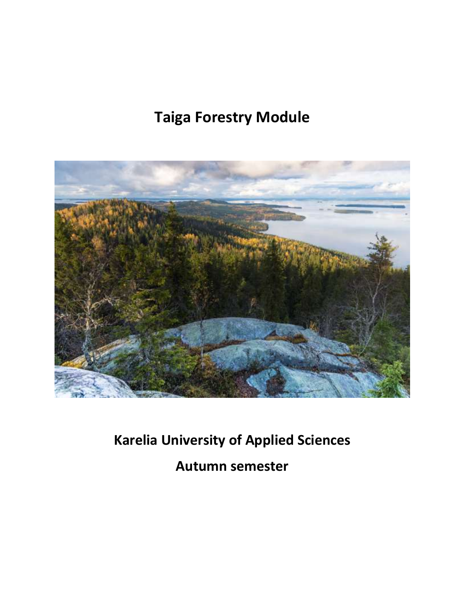# **Taiga Forestry Module**



**Karelia University of Applied Sciences Autumn semester**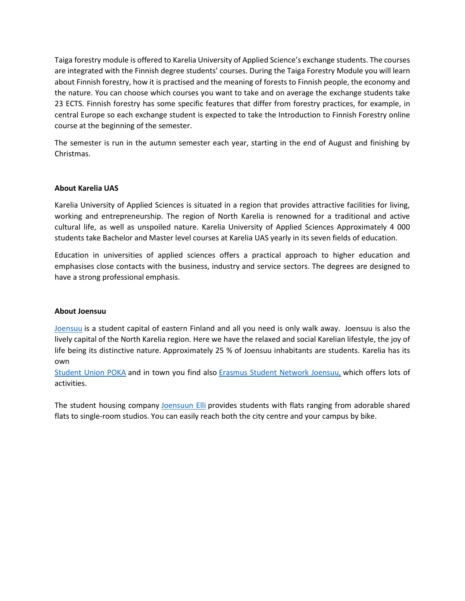Taiga forestry module is offered to Karelia University of Applied Science's exchange students. The courses are integrated with the Finnish degree students' courses. During the Taiga Forestry Module you will learn about Finnish forestry, how it is practised and the meaning of forests to Finnish people, the economy and the nature. You can choose which courses you want to take and on average the exchange students take 23 ECTS. Finnish forestry has some specific features that differ from forestry practices, for example, in central Europe so each exchange student is expected to take the Introduction to Finnish Forestry online course at the beginning of the semester.

The semester is run in the autumn semester each year, starting in the end of August and finishing by Christmas.

# **About Karelia UAS**

Karelia University of Applied Sciences is situated in a region that provides attractive facilities for living, working and entrepreneurship. The region of North Karelia is renowned for a traditional and active cultural life, as well as unspoiled nature. Karelia University of Applied Sciences Approximately 4 000 students take Bachelor and Master level courses at Karelia UAS yearly in its seven fields of education.

Education in universities of applied sciences offers a practical approach to higher education and emphasises close contacts with the business, industry and service sectors. The degrees are designed to have a strong professional emphasis.

# **About Joensuu**

[Joensuu](http://www.joensuu.fi/en/web/english) is a student capital of eastern Finland and all you need is only walk away. Joensuu is also the lively capital of the North Karelia region. Here we have the relaxed and social Karelian lifestyle, the joy of life being its distinctive nature. Approximately 25 % of Joensuu inhabitants are students. Karelia has its own

[Student Union POKA](http://www.pokapoka.fi/english/) and in town you find also [Erasmus Student Network Joensuu,](http://esnjoensuu.fi/) which offers lots of activities.

The student housing company [Joensuun Elli](https://www.joensuunelli.fi/en/) provides students with flats ranging from adorable shared flats to single-room studios. You can easily reach both the city centre and your campus by bike.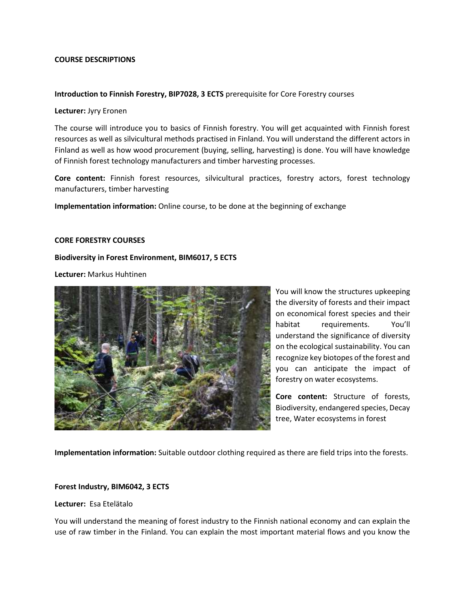## **COURSE DESCRIPTIONS**

#### **Introduction to Finnish Forestry, BIP7028, 3 ECTS** prerequisite for Core Forestry courses

#### **Lecturer:** Jyry Eronen

The course will introduce you to basics of Finnish forestry. You will get acquainted with Finnish forest resources as well as silvicultural methods practised in Finland. You will understand the different actors in Finland as well as how wood procurement (buying, selling, harvesting) is done. You will have knowledge of Finnish forest technology manufacturers and timber harvesting processes.

**Core content:** Finnish forest resources, silvicultural practices, forestry actors, forest technology manufacturers, timber harvesting

**Implementation information:** Online course, to be done at the beginning of exchange

## **CORE FORESTRY COURSES**

## **Biodiversity in Forest Environment, BIM6017, 5 ECTS**

**Lecturer:** Markus Huhtinen



You will know the structures upkeeping the diversity of forests and their impact on economical forest species and their habitat requirements. You'll understand the significance of diversity on the ecological sustainability. You can recognize key biotopes of the forest and you can anticipate the impact of forestry on water ecosystems.

**Core content:** Structure of forests, Biodiversity, endangered species, Decay tree, Water ecosystems in forest

**Implementation information:** Suitable outdoor clothing required as there are field trips into the forests.

#### **Forest Industry, BIM6042, 3 ECTS**

#### **Lecturer:** Esa Etelätalo

You will understand the meaning of forest industry to the Finnish national economy and can explain the use of raw timber in the Finland. You can explain the most important material flows and you know the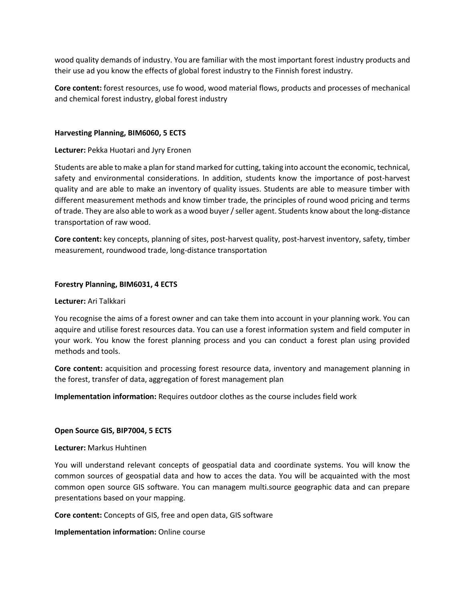wood quality demands of industry. You are familiar with the most important forest industry products and their use ad you know the effects of global forest industry to the Finnish forest industry.

**Core content:** forest resources, use fo wood, wood material flows, products and processes of mechanical and chemical forest industry, global forest industry

#### **Harvesting Planning, BIM6060, 5 ECTS**

#### **Lecturer:** Pekka Huotari and Jyry Eronen

Students are able to make a plan for stand marked for cutting, taking into account the economic, technical, safety and environmental considerations. In addition, students know the importance of post-harvest quality and are able to make an inventory of quality issues. Students are able to measure timber with different measurement methods and know timber trade, the principles of round wood pricing and terms of trade. They are also able to work as a wood buyer / seller agent. Students know about the long-distance transportation of raw wood.

**Core content:** key concepts, planning of sites, post-harvest quality, post-harvest inventory, safety, timber measurement, roundwood trade, long-distance transportation

#### **Forestry Planning, BIM6031, 4 ECTS**

#### **Lecturer:** Ari Talkkari

You recognise the aims of a forest owner and can take them into account in your planning work. You can aqquire and utilise forest resources data. You can use a forest information system and field computer in your work. You know the forest planning process and you can conduct a forest plan using provided methods and tools.

**Core content:** acquisition and processing forest resource data, inventory and management planning in the forest, transfer of data, aggregation of forest management plan

**Implementation information:** Requires outdoor clothes as the course includes field work

#### **Open Source GIS, BIP7004, 5 ECTS**

#### **Lecturer:** Markus Huhtinen

You will understand relevant concepts of geospatial data and coordinate systems. You will know the common sources of geospatial data and how to acces the data. You will be acquainted with the most common open source GIS software. You can managem multi.source geographic data and can prepare presentations based on your mapping.

**Core content:** Concepts of GIS, free and open data, GIS software

**Implementation information:** Online course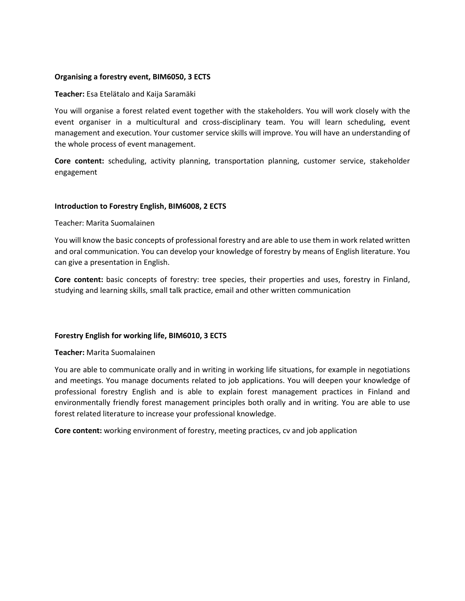## **Organising a forestry event, BIM6050, 3 ECTS**

#### **Teacher:** Esa Etelätalo and Kaija Saramäki

You will organise a forest related event together with the stakeholders. You will work closely with the event organiser in a multicultural and cross-disciplinary team. You will learn scheduling, event management and execution. Your customer service skills will improve. You will have an understanding of the whole process of event management.

**Core content:** scheduling, activity planning, transportation planning, customer service, stakeholder engagement

## **Introduction to Forestry English, BIM6008, 2 ECTS**

## Teacher: Marita Suomalainen

You will know the basic concepts of professional forestry and are able to use them in work related written and oral communication. You can develop your knowledge of forestry by means of English literature. You can give a presentation in English.

**Core content:** basic concepts of forestry: tree species, their properties and uses, forestry in Finland, studying and learning skills, small talk practice, email and other written communication

# **Forestry English for working life, BIM6010, 3 ECTS**

#### **Teacher:** Marita Suomalainen

You are able to communicate orally and in writing in working life situations, for example in negotiations and meetings. You manage documents related to job applications. You will deepen your knowledge of professional forestry English and is able to explain forest management practices in Finland and environmentally friendly forest management principles both orally and in writing. You are able to use forest related literature to increase your professional knowledge.

**Core content:** working environment of forestry, meeting practices, cv and job application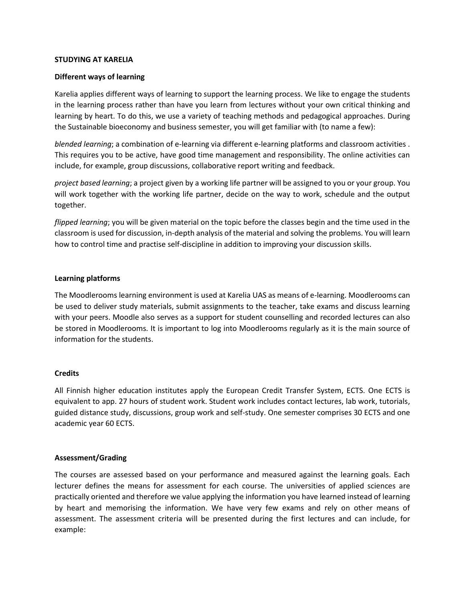## **STUDYING AT KARELIA**

## **Different ways of learning**

Karelia applies different ways of learning to support the learning process. We like to engage the students in the learning process rather than have you learn from lectures without your own critical thinking and learning by heart. To do this, we use a variety of teaching methods and pedagogical approaches. During the Sustainable bioeconomy and business semester, you will get familiar with (to name a few):

*blended learning*; a combination of e-learning via different e-learning platforms and classroom activities . This requires you to be active, have good time management and responsibility. The online activities can include, for example, group discussions, collaborative report writing and feedback.

*project based learning*; a project given by a working life partner will be assigned to you or your group. You will work together with the working life partner, decide on the way to work, schedule and the output together.

*flipped learning*; you will be given material on the topic before the classes begin and the time used in the classroom is used for discussion, in-depth analysis of the material and solving the problems. You will learn how to control time and practise self-discipline in addition to improving your discussion skills.

## **Learning platforms**

The Moodlerooms learning environment is used at Karelia UAS as means of e-learning. Moodlerooms can be used to deliver study materials, submit assignments to the teacher, take exams and discuss learning with your peers. Moodle also serves as a support for student counselling and recorded lectures can also be stored in Moodlerooms. It is important to log into Moodlerooms regularly as it is the main source of information for the students.

#### **Credits**

All Finnish higher education institutes apply the European Credit Transfer System, ECTS. One ECTS is equivalent to app. 27 hours of student work. Student work includes contact lectures, lab work, tutorials, guided distance study, discussions, group work and self-study. One semester comprises 30 ECTS and one academic year 60 ECTS.

#### **Assessment/Grading**

The courses are assessed based on your performance and measured against the learning goals. Each lecturer defines the means for assessment for each course. The universities of applied sciences are practically oriented and therefore we value applying the information you have learned instead of learning by heart and memorising the information. We have very few exams and rely on other means of assessment. The assessment criteria will be presented during the first lectures and can include, for example: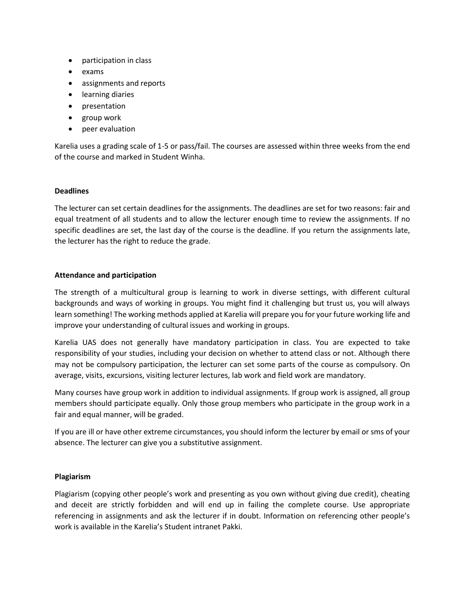- participation in class
- exams
- assignments and reports
- learning diaries
- presentation
- group work
- peer evaluation

Karelia uses a grading scale of 1-5 or pass/fail. The courses are assessed within three weeks from the end of the course and marked in Student Winha.

## **Deadlines**

The lecturer can set certain deadlines for the assignments. The deadlines are set for two reasons: fair and equal treatment of all students and to allow the lecturer enough time to review the assignments. If no specific deadlines are set, the last day of the course is the deadline. If you return the assignments late, the lecturer has the right to reduce the grade.

## **Attendance and participation**

The strength of a multicultural group is learning to work in diverse settings, with different cultural backgrounds and ways of working in groups. You might find it challenging but trust us, you will always learn something! The working methods applied at Karelia will prepare you for your future working life and improve your understanding of cultural issues and working in groups.

Karelia UAS does not generally have mandatory participation in class. You are expected to take responsibility of your studies, including your decision on whether to attend class or not. Although there may not be compulsory participation, the lecturer can set some parts of the course as compulsory. On average, visits, excursions, visiting lecturer lectures, lab work and field work are mandatory.

Many courses have group work in addition to individual assignments. If group work is assigned, all group members should participate equally. Only those group members who participate in the group work in a fair and equal manner, will be graded.

If you are ill or have other extreme circumstances, you should inform the lecturer by email or sms of your absence. The lecturer can give you a substitutive assignment.

# **Plagiarism**

Plagiarism (copying other people's work and presenting as you own without giving due credit), cheating and deceit are strictly forbidden and will end up in failing the complete course. Use appropriate referencing in assignments and ask the lecturer if in doubt. Information on referencing other people's work is available in the Karelia's Student intranet Pakki.